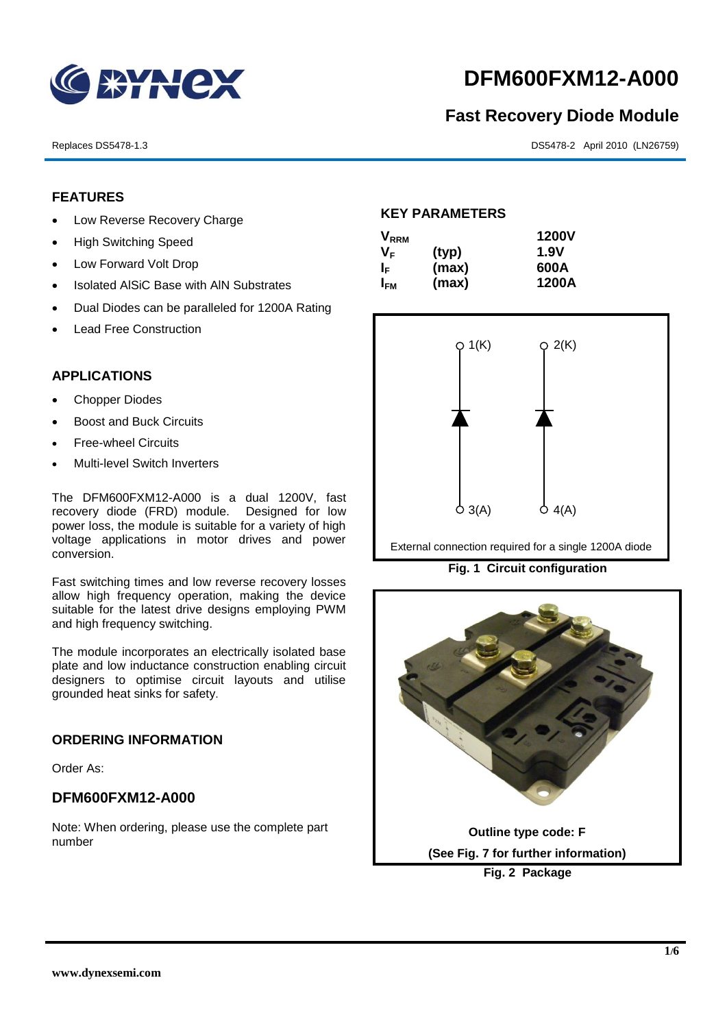

# **DFM600FXM12-A000**

# **Fast Recovery Diode Module**

Replaces DS5478-1.3 DS5478-2 April 2010 (LN26759)

# **FEATURES**

- Low Reverse Recovery Charge
- High Switching Speed
- Low Forward Volt Drop
- Isolated AISiC Base with AIN Substrates
- Dual Diodes can be paralleled for 1200A Rating
- Lead Free Construction

# **APPLICATIONS**

- Chopper Diodes
- Boost and Buck Circuits
- Free-wheel Circuits
- Multi-level Switch Inverters

The DFM600FXM12-A000 is a dual 1200V, fast recovery diode (FRD) module. Designed for low power loss, the module is suitable for a variety of high voltage applications in motor drives and power conversion.

Fast switching times and low reverse recovery losses allow high frequency operation, making the device suitable for the latest drive designs employing PWM and high frequency switching.

The module incorporates an electrically isolated base plate and low inductance construction enabling circuit designers to optimise circuit layouts and utilise grounded heat sinks for safety.

# **ORDERING INFORMATION**

Order As:

# **DFM600FXM12-A000**

Note: When ordering, please use the complete part number

# **KEY PARAMETERS**

| $\mathsf{V}_{\mathsf{RRM}}$ |       | <b>1200V</b> |
|-----------------------------|-------|--------------|
| V <sub>F</sub>              | (typ) | <b>1.9V</b>  |
| ΙF                          | (max) | 600A         |
| I <sub>FМ</sub>             | (max) | 1200A        |



External connection required for a single 1200A diode

**Fig. 1 Circuit configuration**

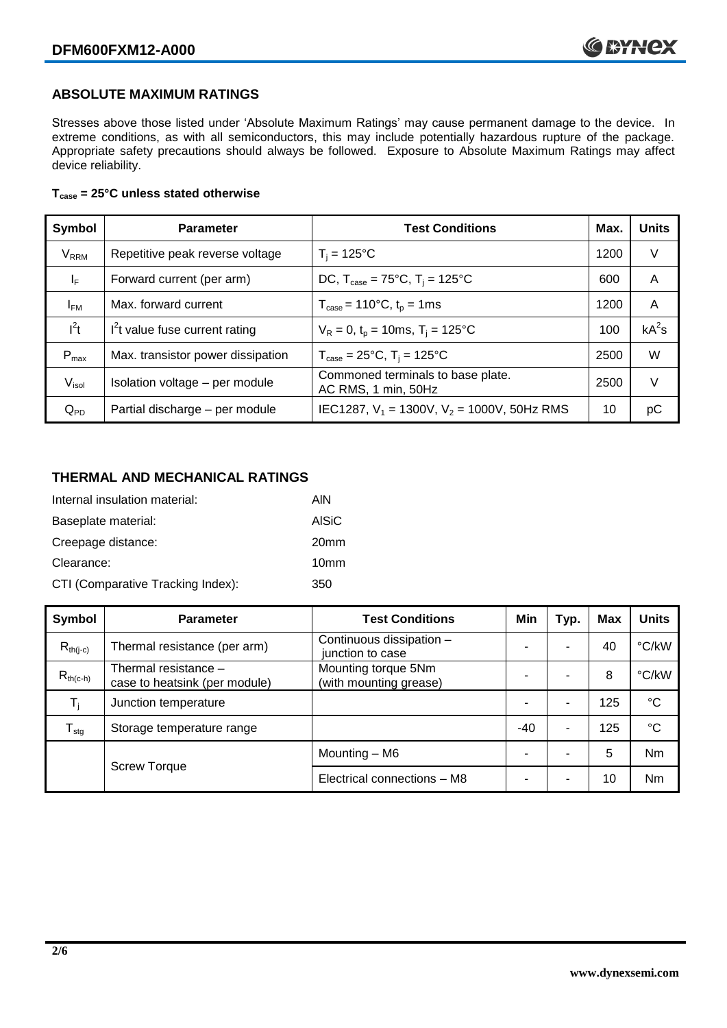# **ABSOLUTE MAXIMUM RATINGS**

Stresses above those listed under 'Absolute Maximum Ratings' may cause permanent damage to the device. In extreme conditions, as with all semiconductors, this may include potentially hazardous rupture of the package. Appropriate safety precautions should always be followed. Exposure to Absolute Maximum Ratings may affect device reliability.

#### **Tcase = 25°C unless stated otherwise**

| Symbol                  | <b>Parameter</b>                  | <b>Test Conditions</b>                                      | Max. | <b>Units</b> |
|-------------------------|-----------------------------------|-------------------------------------------------------------|------|--------------|
| <b>V</b> <sub>RRM</sub> | Repetitive peak reverse voltage   | $T_i = 125$ °C                                              | 1200 | V            |
| $\mathsf{I}_\mathsf{F}$ | Forward current (per arm)         | DC, $T_{\text{case}} = 75^{\circ}$ C, $T_i = 125^{\circ}$ C | 600  | A            |
| $I_{FM}$                | Max. forward current              | $T_{\text{case}} = 110^{\circ}C, t_{p} = 1ms$               | 1200 | A            |
| $I^2t$                  | $I2t$ value fuse current rating   | $V_R = 0$ , $t_p = 10$ ms, $T_i = 125$ °C                   | 100  | $kA^2s$      |
| $P_{\text{max}}$        | Max. transistor power dissipation | $T_{\text{case}} = 25^{\circ}C$ , $T_i = 125^{\circ}C$      | 2500 | W            |
| $V_{\sf isol}$          | Isolation voltage - per module    | Commoned terminals to base plate.<br>AC RMS, 1 min, 50Hz    | 2500 | V            |
| $Q_{PD}$                | Partial discharge - per module    | IEC1287, $V_1$ = 1300V, $V_2$ = 1000V, 50Hz RMS             | 10   | рC           |

# **THERMAL AND MECHANICAL RATINGS**

| Internal insulation material:     | AIN              |
|-----------------------------------|------------------|
| Baseplate material:               | <b>AISiC</b>     |
| Creepage distance:                | 20 <sub>mm</sub> |
| Clearance:                        | 10 <sub>mm</sub> |
| CTI (Comparative Tracking Index): | 350              |

| Symbol              | <b>Parameter</b>                                      | <b>Test Conditions</b>                        | Min                      | Typ. | Max | <b>Units</b>    |
|---------------------|-------------------------------------------------------|-----------------------------------------------|--------------------------|------|-----|-----------------|
| $R_{th(i-c)}$       | Thermal resistance (per arm)                          | Continuous dissipation -<br>junction to case  |                          | ۰    | 40  | °C/kW           |
| $R_{th(c-h)}$       | Thermal resistance -<br>case to heatsink (per module) | Mounting torque 5Nm<br>(with mounting grease) |                          | ۰    | 8   | °C/kW           |
| $T_i$               | Junction temperature                                  |                                               | $\overline{\phantom{0}}$ | ۰    | 125 | $\rm ^{\circ}C$ |
| $T_{\text{stg}}$    | Storage temperature range                             |                                               | $-40$                    | ۰    | 125 | $^{\circ}C$     |
|                     |                                                       | Mounting - M6                                 |                          | ۰    | 5   | Nm              |
| <b>Screw Torque</b> |                                                       | Electrical connections - M8                   |                          | ۰    | 10  | Nm              |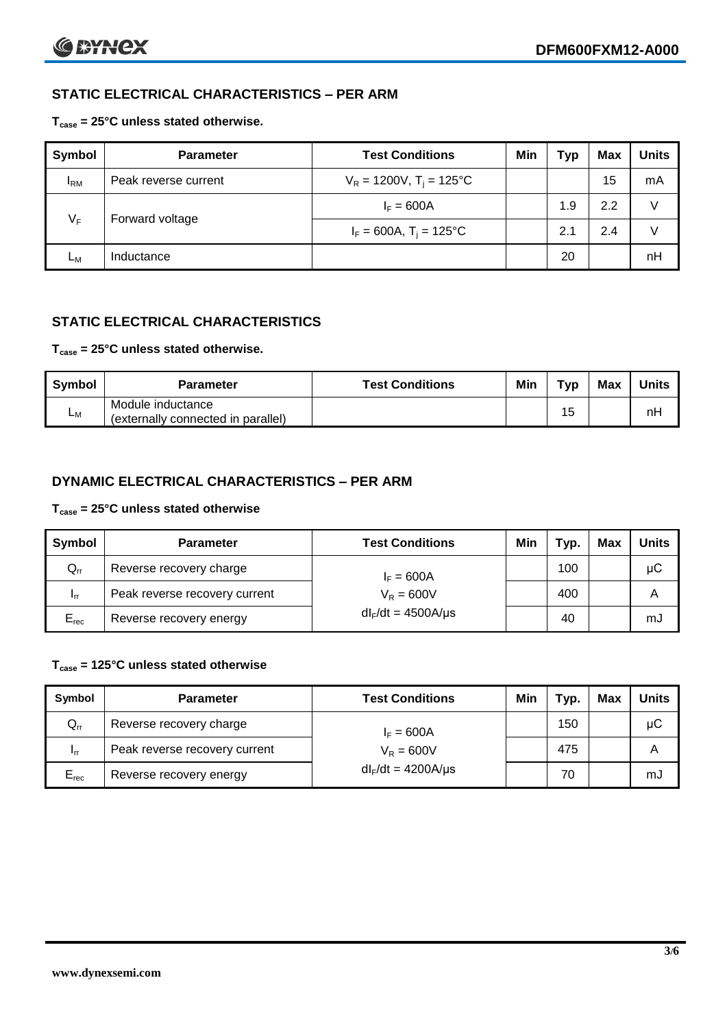# **STATIC ELECTRICAL CHARACTERISTICS – PER ARM**

## **Tcase = 25°C unless stated otherwise.**

| <b>Symbol</b>            | <b>Parameter</b>     | <b>Test Conditions</b>                 | Min | Typ | Max | <b>Units</b> |
|--------------------------|----------------------|----------------------------------------|-----|-----|-----|--------------|
| $I_{\rm RM}$             | Peak reverse current | $V_R = 1200V$ , T <sub>i</sub> = 125°C |     |     | 15  | mA           |
| $V_F$<br>Forward voltage |                      | $I_F = 600A$                           |     | 1.9 | 2.2 | V            |
|                          |                      | $I_F = 600A$ , $T_i = 125^{\circ}C$    |     | 2.1 | 2.4 | V            |
| Lм                       | Inductance           |                                        |     | 20  |     | nH           |

# **STATIC ELECTRICAL CHARACTERISTICS**

# **Tcase = 25°C unless stated otherwise.**

| Symbol | <b>Parameter</b>                                        | <b>Test Conditions</b> | Min | тур | Max | <b>Units</b> |
|--------|---------------------------------------------------------|------------------------|-----|-----|-----|--------------|
| Lм     | Module inductance<br>(externally connected in parallel) |                        |     | 15  |     | nH           |

# **DYNAMIC ELECTRICAL CHARACTERISTICS – PER ARM**

#### **Tcase = 25°C unless stated otherwise**

| <b>Symbol</b>   | <b>Parameter</b>              | <b>Test Conditions</b>  | Min | тур. | Max | Units |
|-----------------|-------------------------------|-------------------------|-----|------|-----|-------|
| $Q_{rr}$        | Reverse recovery charge       | $I_F = 600A$            |     | 100  |     | μC    |
| 1 <sub>rr</sub> | Peak reverse recovery current | $V_{\rm R} = 600V$      |     | 400  |     | Α     |
| $E_{rec}$       | Reverse recovery energy       | $dl_F/dt = 4500A/\mu s$ |     | 40   |     | mJ    |

## **Tcase = 125°C unless stated otherwise**

| Symbol    | <b>Parameter</b>              | <b>Test Conditions</b>  | Min | $\tau_{\text{yp}}$ . | Max | Units |
|-----------|-------------------------------|-------------------------|-----|----------------------|-----|-------|
| $Q_{rr}$  | Reverse recovery charge       | $I_F = 600A$            |     | 150                  |     | μC    |
| - Irr     | Peak reverse recovery current | $V_R = 600V$            |     | 475                  |     | Α     |
| $E_{rec}$ | Reverse recovery energy       | $dl_F/dt = 4200A/\mu s$ |     | 70                   |     | mJ    |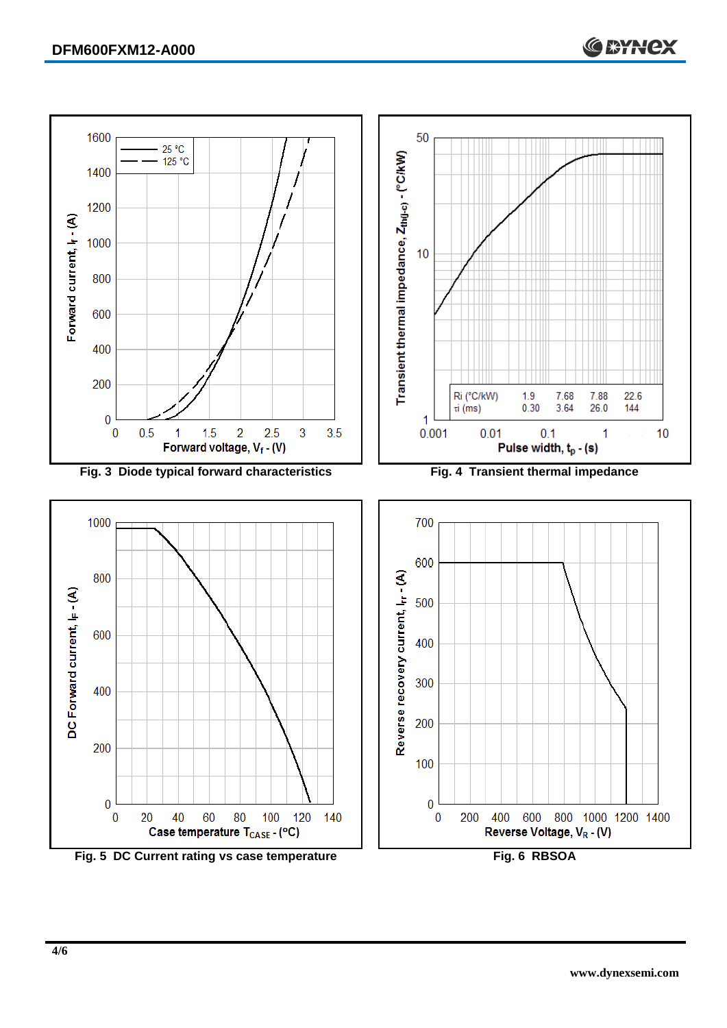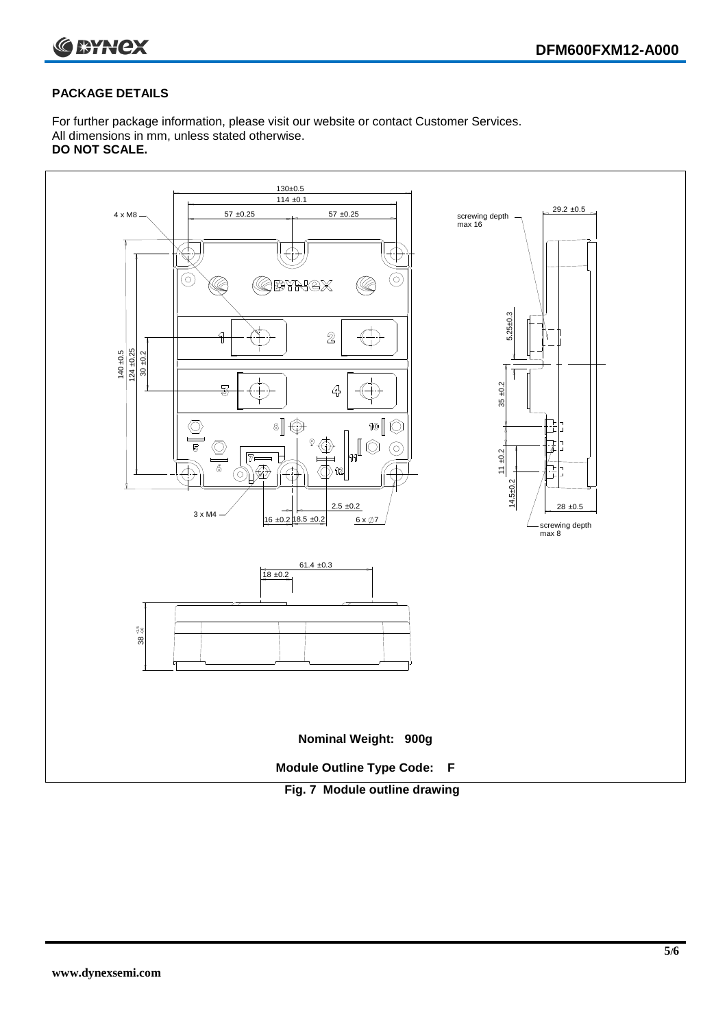



#### **PACKAGE DETAILS**

For further package information, please visit our website or contact Customer Services. All dimensions in mm, unless stated otherwise. **DO NOT SCALE.**